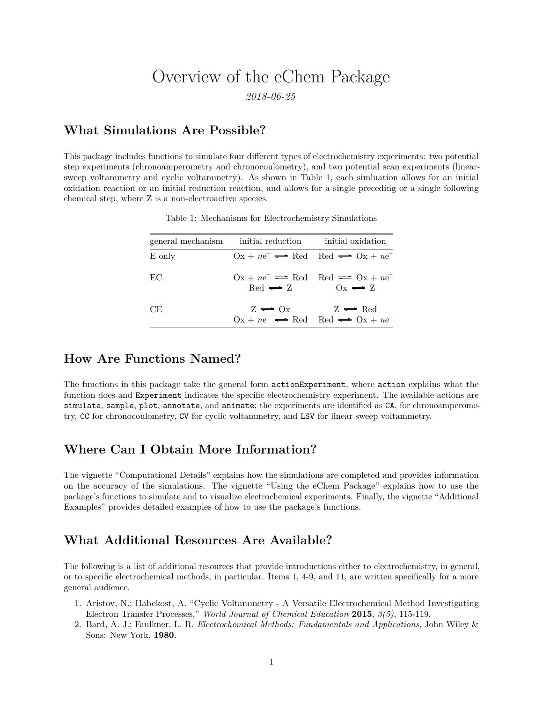# Overview of the eChem Package

*2018-06-25*

### **What Simulations Are Possible?**

This package includes functions to simulate four different types of electrochemistry experiments: two potential step experiments (chronoamperometry and chronocoulometry), and two potential scan experiments (linearsweep voltammetry and cyclic voltammetry). As shown in Table 1, each simluation allows for an initial oxidation reaction or an initial reduction reaction, and allows for a single preceding or a single following chemical step, where Z is a non-electroactive species.

|                   | general mechanism initial reduction                                                                         | initial oxidation                                                                                                                          |
|-------------------|-------------------------------------------------------------------------------------------------------------|--------------------------------------------------------------------------------------------------------------------------------------------|
| $E_{\text{only}}$ |                                                                                                             | $0x + ne^{-} \rightleftharpoons Red \quad Red \rightleftharpoons Ox + ne^{-}$                                                              |
| EC                | $0x + ne^{-} \rightleftharpoons Red \quad Red \rightleftharpoons Ox + ne^{-}$<br>$Red \rightleftharpoons Z$ | $Ox \rightleftharpoons Z$                                                                                                                  |
| CE.               |                                                                                                             | $Z \rightleftharpoons 0x \qquad Z \rightleftharpoons Red$<br>$Qx + ne^{-} \rightleftharpoons Red \quad Red \rightleftharpoons Qx + ne^{-}$ |

Table 1: Mechanisms for Electrochemistry Simulations

#### **How Are Functions Named?**

The functions in this package take the general form actionExperiment, where action explains what the function does and Experiment indicates the specific electrochemistry experiment. The available actions are simulate, sample, plot, annotate, and animate; the experiments are identified as CA, for chronoamperometry, CC for chronocoulometry, CV for cyclic voltammetry, and LSV for linear sweep voltammetry.

#### **Where Can I Obtain More Information?**

The vignette "Computational Details" explains how the simulations are completed and provides information on the accuracy of the simulations. The vignette "Using the eChem Package" explains how to use the package's functions to simulate and to visualize electrochemical experiments. Finally, the vignette "Additional Examples" provides detailed examples of how to use the package's functions.

## **What Additional Resources Are Available?**

The following is a list of additional resources that provide introductions either to electrochemistry, in general, or to specific electrochemical methods, in particular. Items 1, 4-9, and 11, are written specifically for a more general audience.

- 1. Aristov, N.; Habekost, A. "Cyclic Voltammetry A Versatile Electrochemical Method Investigating Electron Transfer Processes," *World Journal of Chemical Education* **2015**, *3(5)*, 115-119.
- 2. Bard, A. J.; Faulkner, L. R. *Electrochemical Methods: Fundamentals and Applications*, John Wiley & Sons: New York, **1980**.